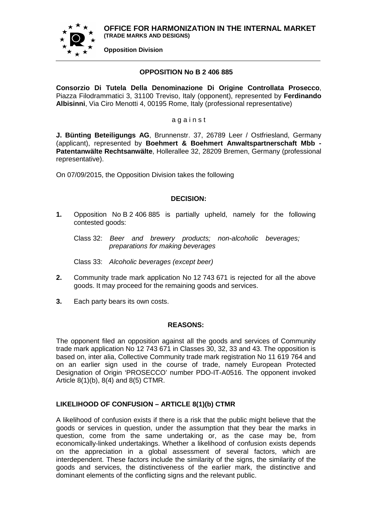**OFFICE FOR HARMONIZATION IN THE INTERNAL MARKET (TRADE MARKS AND DESIGNS)**



**Opposition Division**

### **OPPOSITION No B 2 406 885**

**Consorzio Di Tutela Della Denominazione Di Origine Controllata Prosecco**, Piazza Filodrammatici 3, 31100 Treviso, Italy (opponent), represented by **Ferdinando Albisinni**, Via Ciro Menotti 4, 00195 Rome, Italy (professional representative)

a g a i n s t

**J. Bünting Beteiligungs AG**, Brunnenstr. 37, 26789 Leer / Ostfriesland, Germany (applicant), represented by **Boehmert & Boehmert Anwaltspartnerschaft Mbb - Patentanwälte Rechtsanwälte**, Hollerallee 32, 28209 Bremen, Germany (professional representative).

On 07/09/2015, the Opposition Division takes the following

# **DECISION:**

**1.** Opposition No B 2 406 885 is partially upheld, namely for the following contested goods:

Class 32: *Beer and brewery products; non-alcoholic beverages; preparations for making beverages*

Class 33: *Alcoholic beverages (except beer)*

- **2.** Community trade mark application No 12 743 671 is rejected for all the above goods. It may proceed for the remaining goods and services.
- **3.** Each party bears its own costs.

### **REASONS:**

The opponent filed an opposition against all the goods and services of Community trade mark application No 12 743 671 in Classes 30, 32, 33 and 43. The opposition is based on, inter alia, Collective Community trade mark registration No 11 619 764 and on an earlier sign used in the course of trade, namely European Protected Designation of Origin 'PROSECCO' number PDO-IT-A0516. The opponent invoked Article 8(1)(b), 8(4) and 8(5) CTMR.

# **LIKELIHOOD OF CONFUSION – ARTICLE 8(1)(b) CTMR**

A likelihood of confusion exists if there is a risk that the public might believe that the goods or services in question, under the assumption that they bear the marks in question, come from the same undertaking or, as the case may be, from economically-linked undertakings. Whether a likelihood of confusion exists depends on the appreciation in a global assessment of several factors, which are interdependent. These factors include the similarity of the signs, the similarity of the goods and services, the distinctiveness of the earlier mark, the distinctive and dominant elements of the conflicting signs and the relevant public.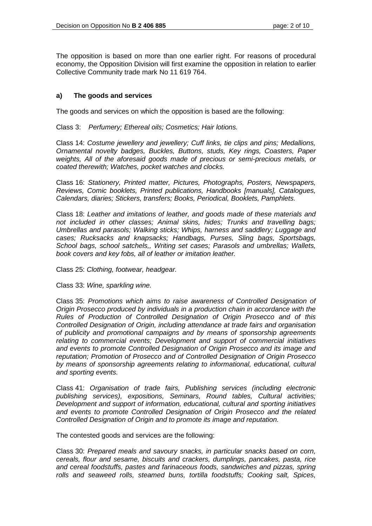The opposition is based on more than one earlier right. For reasons of procedural economy, the Opposition Division will first examine the opposition in relation to earlier Collective Community trade mark No 11 619 764.

# **a) The goods and services**

The goods and services on which the opposition is based are the following:

Class 3: *Perfumery; Ethereal oils; Cosmetics; Hair lotions.*

Class 14: *Costume jewellery and jewellery; Cuff links, tie clips and pins; Medallions, Ornamental novelty badges, Buckles, Buttons, studs, Key rings, Coasters, Paper weights, All of the aforesaid goods made of precious or semi-precious metals, or coated therewith; Watches, pocket watches and clocks.*

Class 16: *Stationery, Printed matter, Pictures, Photographs, Posters, Newspapers, Reviews, Comic booklets, Printed publications, Handbooks [manuals], Catalogues, Calendars, diaries; Stickers, transfers; Books, Periodical, Booklets, Pamphlets.*

Class 18: *Leather and imitations of leather, and goods made of these materials and not included in other classes; Animal skins, hides; Trunks and travelling bags; Umbrellas and parasols; Walking sticks; Whips, harness and saddlery; Luggage and cases; Rucksacks and knapsacks; Handbags, Purses, Sling bags, Sportsbags, School bags, school satchels,, Writing set cases; Parasols and umbrellas; Wallets, book covers and key fobs, all of leather or imitation leather.*

Class 25: *Clothing, footwear, headgear.*

Class 33: *Wine, sparkling wine.*

Class 35: *Promotions which aims to raise awareness of Controlled Designation of Origin Prosecco produced by individuals in a production chain in accordance with the Rules of Production of Controlled Designation of Origin Prosecco and of this Controlled Designation of Origin, including attendance at trade fairs and organisation of publicity and promotional campaigns and by means of sponsorship agreements relating to commercial events; Development and support of commercial initiatives and events to promote Controlled Designation of Origin Prosecco and its image and reputation; Promotion of Prosecco and of Controlled Designation of Origin Prosecco by means of sponsorship agreements relating to informational, educational, cultural and sporting events.*

Class 41: *Organisation of trade fairs, Publishing services (including electronic publishing services), expositions, Seminars, Round tables, Cultural activities; Development and support of information, educational, cultural and sporting initiatives and events to promote Controlled Designation of Origin Prosecco and the related Controlled Designation of Origin and to promote its image and reputation.*

The contested goods and services are the following:

Class 30: *Prepared meals and savoury snacks, in particular snacks based on corn, cereals, flour and sesame, biscuits and crackers, dumplings, pancakes, pasta, rice and cereal foodstuffs, pastes and farinaceous foods, sandwiches and pizzas, spring rolls and seaweed rolls, steamed buns, tortilla foodstuffs; Cooking salt, Spices,*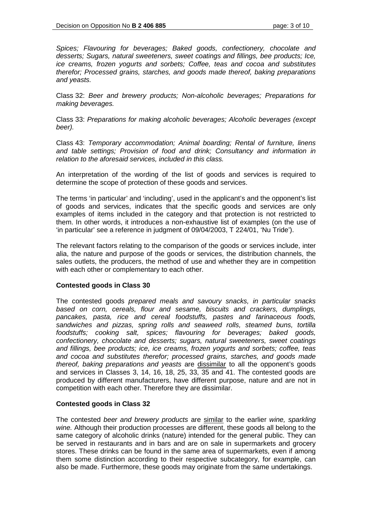*Spices; Flavouring for beverages; Baked goods, confectionery, chocolate and desserts; Sugars, natural sweeteners, sweet coatings and fillings, bee products; Ice, ice creams, frozen yogurts and sorbets; Coffee, teas and cocoa and substitutes therefor; Processed grains, starches, and goods made thereof, baking preparations and yeasts.*

Class 32: *Beer and brewery products; Non-alcoholic beverages; Preparations for making beverages.*

Class 33: *Preparations for making alcoholic beverages; Alcoholic beverages (except beer).*

Class 43: *Temporary accommodation; Animal boarding; Rental of furniture, linens and table settings; Provision of food and drink; Consultancy and information in relation to the aforesaid services, included in this class.*

An interpretation of the wording of the list of goods and services is required to determine the scope of protection of these goods and services.

The terms 'in particular' and 'including', used in the applicant's and the opponent's list of goods and services, indicates that the specific goods and services are only examples of items included in the category and that protection is not restricted to them. In other words, it introduces a non-exhaustive list of examples (on the use of 'in particular' see a reference in judgment of 09/04/2003, T 224/01, 'Nu Tride').

The relevant factors relating to the comparison of the goods or services include, inter alia, the nature and purpose of the goods or services, the distribution channels, the sales outlets, the producers, the method of use and whether they are in competition with each other or complementary to each other.

#### **Contested goods in Class 30**

The contested goods *prepared meals and savoury snacks, in particular snacks based on corn, cereals, flour and sesame, biscuits and crackers, dumplings, pancakes, pasta, rice and cereal foodstuffs, pastes and farinaceous foods, sandwiches and pizzas, spring rolls and seaweed rolls, steamed buns, tortilla foodstuffs; cooking salt, spices; flavouring for beverages; baked goods, confectionery, chocolate and desserts; sugars, natural sweeteners, sweet coatings and fillings, bee products; ice, ice creams, frozen yogurts and sorbets; coffee, teas and cocoa and substitutes therefor; processed grains, starches, and goods made thereof, baking preparations and yeasts* are dissimilar to all the opponent's goods and services in Classes 3, 14, 16, 18, 25, 33, 35 and 41. The contested goods are produced by different manufacturers, have different purpose, nature and are not in competition with each other. Therefore they are dissimilar.

#### **Contested goods in Class 32**

The contested *beer and brewery products* are similar to the earlier *wine, sparkling wine.* Although their production processes are different, these goods all belong to the same category of alcoholic drinks (nature) intended for the general public. They can be served in restaurants and in bars and are on sale in supermarkets and grocery stores. These drinks can be found in the same area of supermarkets, even if among them some distinction according to their respective subcategory, for example, can also be made. Furthermore, these goods may originate from the same undertakings.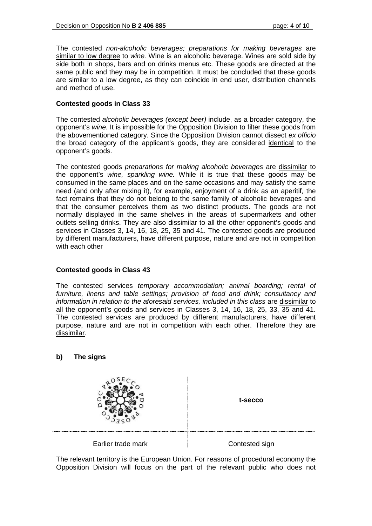The contested *non-alcoholic beverages; preparations for making beverages* are similar to low degree to *wine.* Wine is an alcoholic beverage. Wines are sold side by side both in shops, bars and on drinks menus etc. These goods are directed at the same public and they may be in competition. It must be concluded that these goods are similar to a low degree, as they can coincide in end user, distribution channels and method of use.

# **Contested goods in Class 33**

The contested *alcoholic beverages (except beer)* include, as a broader category, the opponent's *wine.* It is impossible for the Opposition Division to filter these goods from the abovementioned category. Since the Opposition Division cannot dissect *ex officio* the broad category of the applicant's goods, they are considered identical to the opponent's goods.

The contested goods *preparations for making alcoholic beverages* are dissimilar to the opponent's *wine, sparkling wine.* While it is true that these goods may be consumed in the same places and on the same occasions and may satisfy the same need (and only after mixing it), for example, enjoyment of a drink as an aperitif, the fact remains that they do not belong to the same family of alcoholic beverages and that the consumer perceives them as two distinct products. The goods are not normally displayed in the same shelves in the areas of supermarkets and other outlets selling drinks. They are also dissimilar to all the other opponent's goods and services in Classes 3, 14, 16, 18, 25, 35 and 41. The contested goods are produced by different manufacturers, have different purpose, nature and are not in competition with each other

### **Contested goods in Class 43**

The contested services *temporary accommodation; animal boarding; rental of furniture, linens and table settings; provision of food and drink; consultancy and information in relation to the aforesaid services, included in this class* are dissimilar to all the opponent's goods and services in Classes 3, 14, 16, 18, 25, 33, 35 and 41. The contested services are produced by different manufacturers, have different purpose, nature and are not in competition with each other. Therefore they are dissimilar.

### **b) The signs**



The relevant territory is the European Union. For reasons of procedural economy the Opposition Division will focus on the part of the relevant public who does not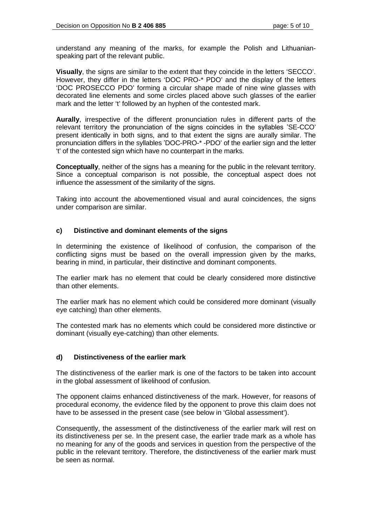understand any meaning of the marks, for example the Polish and Lithuanianspeaking part of the relevant public.

**Visually**, the signs are similar to the extent that they coincide in the letters 'SECCO'. However, they differ in the letters 'DOC PRO-\* PDO' and the display of the letters 'DOC PROSECCO PDO' forming a circular shape made of nine wine glasses with decorated line elements and some circles placed above such glasses of the earlier mark and the letter 't' followed by an hyphen of the contested mark.

**Aurally**, irrespective of the different pronunciation rules in different parts of the relevant territory the pronunciation of the signs coincides in the syllables 'SE-CCO' present identically in both signs, and to that extent the signs are aurally similar. The pronunciation differs in the syllables 'DOC-PRO-\* -PDO' of the earlier sign and the letter 't' of the contested sign which have no counterpart in the marks.

**Conceptually**, neither of the signs has a meaning for the public in the relevant territory. Since a conceptual comparison is not possible, the conceptual aspect does not influence the assessment of the similarity of the signs.

Taking into account the abovementioned visual and aural coincidences, the signs under comparison are similar.

### **c) Distinctive and dominant elements of the signs**

In determining the existence of likelihood of confusion, the comparison of the conflicting signs must be based on the overall impression given by the marks, bearing in mind, in particular, their distinctive and dominant components.

The earlier mark has no element that could be clearly considered more distinctive than other elements.

The earlier mark has no element which could be considered more dominant (visually eye catching) than other elements.

The contested mark has no elements which could be considered more distinctive or dominant (visually eye-catching) than other elements.

### **d) Distinctiveness of the earlier mark**

The distinctiveness of the earlier mark is one of the factors to be taken into account in the global assessment of likelihood of confusion.

The opponent claims enhanced distinctiveness of the mark. However, for reasons of procedural economy, the evidence filed by the opponent to prove this claim does not have to be assessed in the present case (see below in 'Global assessment').

Consequently, the assessment of the distinctiveness of the earlier mark will rest on its distinctiveness per se. In the present case, the earlier trade mark as a whole has no meaning for any of the goods and services in question from the perspective of the public in the relevant territory. Therefore, the distinctiveness of the earlier mark must be seen as normal.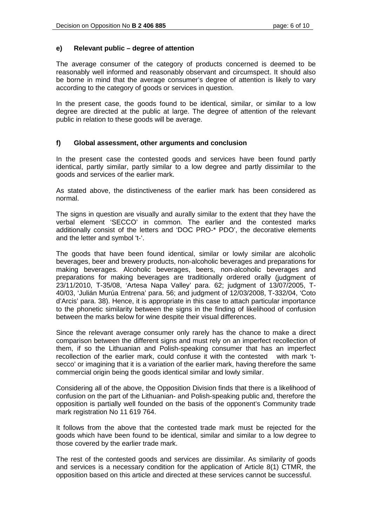#### **e) Relevant public – degree of attention**

The average consumer of the category of products concerned is deemed to be reasonably well informed and reasonably observant and circumspect. It should also be borne in mind that the average consumer's degree of attention is likely to vary according to the category of goods or services in question.

In the present case, the goods found to be identical, similar, or similar to a low degree are directed at the public at large. The degree of attention of the relevant public in relation to these goods will be average.

#### **f) Global assessment, other arguments and conclusion**

In the present case the contested goods and services have been found partly identical, partly similar, partly similar to a low degree and partly dissimilar to the goods and services of the earlier mark.

As stated above, the distinctiveness of the earlier mark has been considered as normal.

The signs in question are visually and aurally similar to the extent that they have the verbal element 'SECCO' in common. The earlier and the contested marks additionally consist of the letters and 'DOC PRO-\* PDO', the decorative elements and the letter and symbol 't-'.

The goods that have been found identical, similar or lowly similar are alcoholic beverages, beer and brewery products, non-alcoholic beverages and preparations for making beverages. Alcoholic beverages, beers, non-alcoholic beverages and preparations for making beverages are traditionally ordered orally (judgment of 23/11/2010, T-35/08, 'Artesa Napa Valley' para. 62; judgment of 13/07/2005, T-40/03, 'Julián Murúa Entrena' para. 56; and judgment of 12/03/2008, T-332/04, 'Coto d'Arcis' para. 38). Hence, it is appropriate in this case to attach particular importance to the phonetic similarity between the signs in the finding of likelihood of confusion between the marks below for wine despite their visual differences.

Since the relevant average consumer only rarely has the chance to make a direct comparison between the different signs and must rely on an imperfect recollection of them, if so the Lithuanian and Polish-speaking consumer that has an imperfect recollection of the earlier mark, could confuse it with the contested with mark 'tsecco' or imagining that it is a variation of the earlier mark, having therefore the same commercial origin being the goods identical similar and lowly similar.

Considering all of the above, the Opposition Division finds that there is a likelihood of confusion on the part of the Lithuanian- and Polish-speaking public and, therefore the opposition is partially well founded on the basis of the opponent's Community trade mark registration No 11 619 764.

It follows from the above that the contested trade mark must be rejected for the goods which have been found to be identical, similar and similar to a low degree to those covered by the earlier trade mark.

The rest of the contested goods and services are dissimilar. As similarity of goods and services is a necessary condition for the application of Article 8(1) CTMR, the opposition based on this article and directed at these services cannot be successful.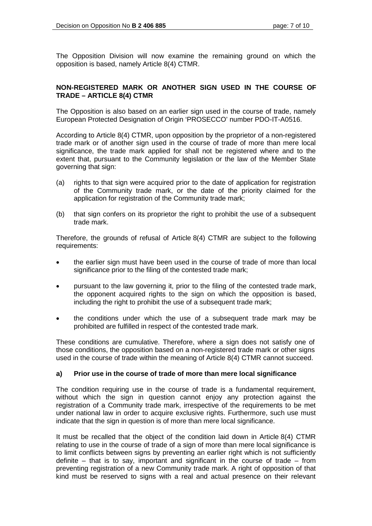The Opposition Division will now examine the remaining ground on which the opposition is based, namely Article 8(4) CTMR.

#### **NON-REGISTERED MARK OR ANOTHER SIGN USED IN THE COURSE OF TRADE – ARTICLE 8(4) CTMR**

The Opposition is also based on an earlier sign used in the course of trade, namely European Protected Designation of Origin 'PROSECCO' number PDO-IT-A0516.

According to Article 8(4) CTMR, upon opposition by the proprietor of a non-registered trade mark or of another sign used in the course of trade of more than mere local significance, the trade mark applied for shall not be registered where and to the extent that, pursuant to the Community legislation or the law of the Member State governing that sign:

- (a) rights to that sign were acquired prior to the date of application for registration of the Community trade mark, or the date of the priority claimed for the application for registration of the Community trade mark;
- (b) that sign confers on its proprietor the right to prohibit the use of a subsequent trade mark.

Therefore, the grounds of refusal of Article 8(4) CTMR are subject to the following requirements:

- the earlier sign must have been used in the course of trade of more than local significance prior to the filing of the contested trade mark;
- pursuant to the law governing it, prior to the filing of the contested trade mark, the opponent acquired rights to the sign on which the opposition is based, including the right to prohibit the use of a subsequent trade mark;
- the conditions under which the use of a subsequent trade mark may be prohibited are fulfilled in respect of the contested trade mark.

These conditions are cumulative. Therefore, where a sign does not satisfy one of those conditions, the opposition based on a non-registered trade mark or other signs used in the course of trade within the meaning of Article 8(4) CTMR cannot succeed.

### **a) Prior use in the course of trade of more than mere local significance**

The condition requiring use in the course of trade is a fundamental requirement, without which the sign in question cannot enjoy any protection against the registration of a Community trade mark, irrespective of the requirements to be met under national law in order to acquire exclusive rights. Furthermore, such use must indicate that the sign in question is of more than mere local significance.

It must be recalled that the object of the condition laid down in Article 8(4) CTMR relating to use in the course of trade of a sign of more than mere local significance is to limit conflicts between signs by preventing an earlier right which is not sufficiently definite – that is to say, important and significant in the course of trade – from preventing registration of a new Community trade mark. A right of opposition of that kind must be reserved to signs with a real and actual presence on their relevant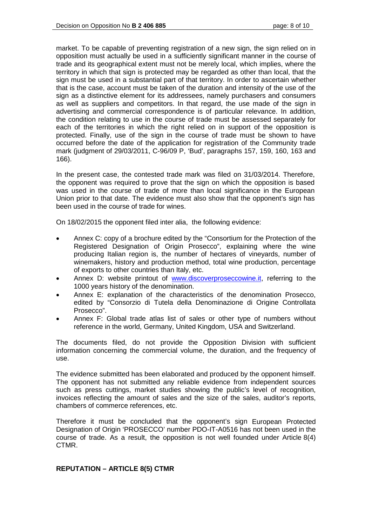market. To be capable of preventing registration of a new sign, the sign relied on in opposition must actually be used in a sufficiently significant manner in the course of trade and its geographical extent must not be merely local, which implies, where the territory in which that sign is protected may be regarded as other than local, that the sign must be used in a substantial part of that territory. In order to ascertain whether that is the case, account must be taken of the duration and intensity of the use of the sign as a distinctive element for its addressees, namely purchasers and consumers as well as suppliers and competitors. In that regard, the use made of the sign in advertising and commercial correspondence is of particular relevance. In addition, the condition relating to use in the course of trade must be assessed separately for each of the territories in which the right relied on in support of the opposition is protected. Finally, use of the sign in the course of trade must be shown to have occurred before the date of the application for registration of the Community trade mark (judgment of 29/03/2011, C-96/09 P, 'Bud', paragraphs 157, 159, 160, 163 and 166).

In the present case, the contested trade mark was filed on 31/03/2014. Therefore, the opponent was required to prove that the sign on which the opposition is based was used in the course of trade of more than local significance in the European Union prior to that date. The evidence must also show that the opponent's sign has been used in the course of trade for wines.

On 18/02/2015 the opponent filed inter alia, the following evidence:

- Annex C: copy of a brochure edited by the "Consortium for the Protection of the Registered Designation of Origin Prosecco", explaining where the wine producing Italian region is, the number of hectares of vineyards, number of winemakers, history and production method, total wine production, percentage of exports to other countries than Italy, etc.
- Annex D: website printout of [www.discoverproseccowine.it,](http://www.discoverproseccowine.it/) referring to the 1000 years history of the denomination.
- Annex E: explanation of the characteristics of the denomination Prosecco, edited by "Consorzio di Tutela della Denominazione di Origine Controllata Prosecco".
- Annex F: Global trade atlas list of sales or other type of numbers without reference in the world, Germany, United Kingdom, USA and Switzerland.

The documents filed, do not provide the Opposition Division with sufficient information concerning the commercial volume, the duration, and the frequency of use.

The evidence submitted has been elaborated and produced by the opponent himself. The opponent has not submitted any reliable evidence from independent sources such as press cuttings, market studies showing the public's level of recognition, invoices reflecting the amount of sales and the size of the sales, auditor's reports, chambers of commerce references, etc.

Therefore it must be concluded that the opponent's sign European Protected Designation of Origin 'PROSECCO' number PDO-IT-A0516 has not been used in the course of trade. As a result, the opposition is not well founded under Article 8(4) CTMR.

### **REPUTATION – ARTICLE 8(5) CTMR**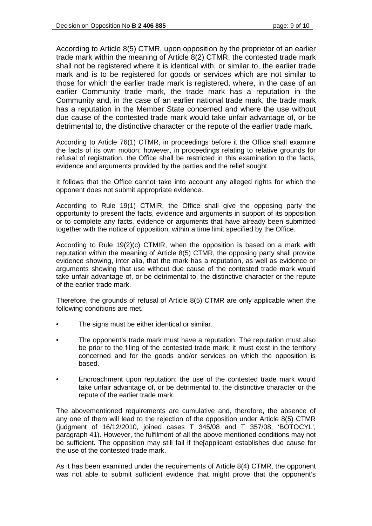According to Article 8(5) CTMR, upon opposition by the proprietor of an earlier trade mark within the meaning of Article 8(2) CTMR, the contested trade mark shall not be registered where it is identical with, or similar to, the earlier trade mark and is to be registered for goods or services which are not similar to those for which the earlier trade mark is registered, where, in the case of an earlier Community trade mark, the trade mark has a reputation in the Community and, in the case of an earlier national trade mark, the trade mark has a reputation in the Member State concerned and where the use without due cause of the contested trade mark would take unfair advantage of, or be detrimental to, the distinctive character or the repute of the earlier trade mark.

According to Article 76(1) CTMR, in proceedings before it the Office shall examine the facts of its own motion; however, in proceedings relating to relative grounds for refusal of registration, the Office shall be restricted in this examination to the facts, evidence and arguments provided by the parties and the relief sought.

It follows that the Office cannot take into account any alleged rights for which the opponent does not submit appropriate evidence.

According to Rule 19(1) CTMIR, the Office shall give the opposing party the opportunity to present the facts, evidence and arguments in support of its opposition or to complete any facts, evidence or arguments that have already been submitted together with the notice of opposition, within a time limit specified by the Office.

According to Rule 19(2)(c) CTMIR, when the opposition is based on a mark with reputation within the meaning of Article 8(5) CTMR, the opposing party shall provide evidence showing, inter alia, that the mark has a reputation, as well as evidence or arguments showing that use without due cause of the contested trade mark would take unfair advantage of, or be detrimental to, the distinctive character or the repute of the earlier trade mark.

Therefore, the grounds of refusal of Article 8(5) CTMR are only applicable when the following conditions are met.

- The signs must be either identical or similar.
- The opponent's trade mark must have a reputation. The reputation must also be prior to the filing of the contested trade mark; it must exist in the territory concerned and for the goods and/or services on which the opposition is based.
- Encroachment upon reputation: the use of the contested trade mark would take unfair advantage of, or be detrimental to, the distinctive character or the repute of the earlier trade mark.

The abovementioned requirements are cumulative and, therefore, the absence of any one of them will lead to the rejection of the opposition under Article 8(5) CTMR (judgment of 16/12/2010, joined cases T 345/08 and T 357/08, 'BOTOCYL', paragraph 41). However, the fulfilment of all the above mentioned conditions may not be sufficient. The opposition may still fail if the[applicant establishes due cause for the use of the contested trade mark.

As it has been examined under the requirements of Article 8(4) CTMR, the opponent was not able to submit sufficient evidence that might prove that the opponent's